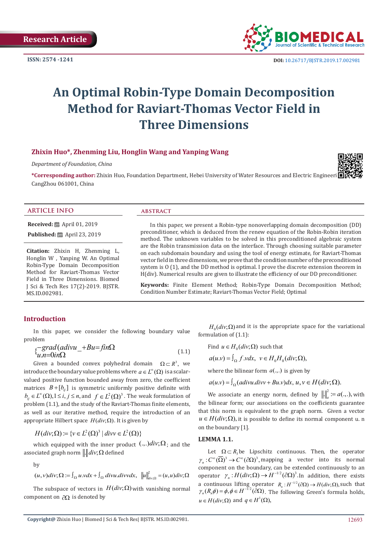**ISSN: 2574 -1241**



## **An Optimal Robin-Type Domain Decomposition Method for Raviart-Thomas Vector Field in Three Dimensions**

#### **Zhixin Huo\*, Zhenming Liu, Honglin Wang and Yanping Wang**

*Department of Foundation, China*

\*Corresponding author: Zhixin Huo, Foundation Department, Hebei University of Water Resources and Electric Engineeri CangZhou 061001, China



#### **ARTICLE INFO abstract**

**Received:** ■ April 01, 2019

**Published:** ■ April 23, 2019

**Citation:** Zhixin H, Zhenming L, Honglin W , Yanping W. An Optimal Robin-Type Domain Decomposition Method for Raviart-Thomas Vector Field in Three Dimensions. Biomed J Sci & Tech Res 17(2)-2019. BJSTR. MS.ID.002981.

In this paper, we present a Robin-type nonoverlapping domain decomposition (DD) preconditioner, which is deduced from the renew equation of the Robin-Robin iteration method. The unknown variables to be solved in this preconditioned algebraic system are the Robin transmission data on the interface. Through choosing suitable parameter on each subdomain boundary and using the tool of energy estimate, for Raviart-Thomas vector field in three dimensions, we prove that the condition number of the preconditioned system is O (1), and the DD method is optimal. I prove the discrete extension theorem in H(div). Numerical results are given to illustrate the efficiency of our DD preconditioner.

**Keywords:** Finite Element Method; Robin-Type Domain Decomposition Method; Condition Number Estimate; Raviart-Thomas Vector Field; Optimal

#### **Introduction**

In this paper, we consider the following boundary value problem

$$
\begin{aligned}\n\{\n\begin{array}{l}\n\text{-}grad(\text{adivu}_{-} + Bu = \text{fin}\Omega) \\
u.n = 0\text{in}\Omega\n\end{array}\n\tag{1.1}\n\end{aligned}
$$

Given a bounded convex polyhedral domain  $\Omega \subset R^3$ , we introduce the boundary value problems where  $a \in L^{\infty}(\Omega)$  is a scalarvalued positive function bounded away from zero, the coefficient matrices  $B + [b_{ij}]$  is symmetric uniformly positive definite with  $b_{ii} \in L^{\infty}(\Omega), 1 \le i, j \le n$ , and  $f \in L^{2}(\Omega)^{3}$ . The weak formulation of problem (1.1), and the study of the Raviart-Thomas finite elements, as well as our iterative method, require the introduction of an appropriate Hilbert space  $H(div; \Omega)$ . It is given by

$$
H(div; \Omega) \coloneqq \{v \in L^2(\Omega)^3 \mid divv \in L^2(\Omega)\}
$$

which equipped with the inner product  $(.,.)div; \Omega$ ; and the associated graph norm  $\|$ .  $\|div \Omega$  defined

by

 $(u, v)div; \Omega := \int_{\Omega} u.vdx + \int_{\Omega} divu.divvdx, \quad ||u||^2_{div;\Omega} = (u,u)div; \Omega$ 

The subspace of vectors in  $H(div; \Omega)$  with vanishing normal component on ∂Ω is denoted by

 $H_0$  $div$ ;  $\Omega$ ) and it is the appropriate space for the variational formulation of (1.1):

Find  $u \in H_0-div; \Omega$  such that

$$
a(u.v) = \int_{\Omega} f.v dx, \ v \in H_0 H_0 (div; \Omega),
$$

where the bilinear form  $a(.,.)$  is given by

 $a(u.v) = \int_{\Omega} (adivu.divv + Bu.v) dx, u, v \in H (div; \Omega).$ 

We associate an energy norm, defined by  $\left\| \cdot \right\|_a^2 := a(.,.,),$  with the bilinear form; our associations on the coefficients guarantee that this norm is equivalent to the graph norm. Given a vector  $u \in H(div; \Omega)$ , it is possible to define its normal component u. n on the boundary [1].

#### **LEMMA 1.1.**

Let  $\Omega \subset R$ , be Lipschitz continuous. Then, the operator  $\gamma_a : C^{\infty}(\overline{\Omega})^3 \to C^{\infty}(\partial \Omega)^3$ , mapping a vector into its normal component on the boundary, can be extended continuously to an operator  $\gamma_n : H(div; \Omega) \to H^{-1/2} (\partial \Omega)^3$ . In addition, there exists a continuous lifting operator  $R_n : H^{-1/2}(\partial \Omega) \rightarrow H(div; \Omega)$ , such that  $γ_n(R_nφ) = φ, φ ∈ H^{-1/2}(\partial \Omega)$ . The following Green's formula holds,  $u \in H(\text{div}; \Omega)$  and  $q \in H^1(\Omega)$ ,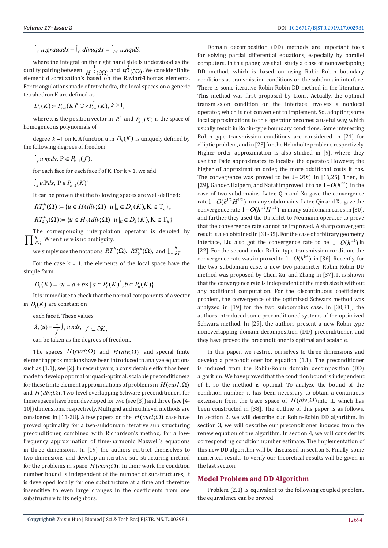$\int_{\Omega} u.gradqdx + \int_{\Omega} divuqdx = \int_{\partial\Omega} u.nqdS$ .

where the integral on the right hand side is understood as the duality pairing between  $H^{-\frac{1}{2}}(\partial \Omega)$  and  $H^{\frac{1}{2}}(\partial \Omega)$ . We consider finite element discretization's based on the Raviart-Thomas elements. For triangulations made of tetrahedra, the local spaces on a generic tetrahedron K are defined as

 $D_k(K) := P_{k-1}(K)^n \oplus \times P_{k-1}(K), k \ge 1,$ 

where x is the position vector in  $R^n$  and  $\overline{P_{k-1}(K)}$  is the space of homogeneous polynomials of

degree  $k-1$  on K. A function u in  $D_k(K)$  is uniquely defined by the following degrees of freedom

 $\int_{f} u$ *npdx*,  $P \in P_{k-1}(f)$ ,

for each face for each face f of K. For  $k > 1$ , we add

 $\int_k u \cdot P dx$ ,  $P \in P_{k-2}(K)^n$ 

It can be proven that the following spaces are well-defined:

$$
RT_k^h(\Omega) := \{ u \in H(\text{div}; \Omega) \mid u \mid_{K} \in D_k(K), K \in T_h \},
$$
  

$$
RT_{k,0}^h(\Omega) := \{ u \in H_0(\text{div}; \Omega) \mid u \mid_{K} \in D_k(K), K \in T_h \}
$$

The corresponding interpolation operator is denoted by  $\prod{}_{\mathit{RT}_k}^{\hbar}$  When there is no ambiguity,

*k*<sub>*k*</sub> we simply use the notations  $RT^h(\Omega)$ ,  $RT^h(\Omega)$ , and  $\prod_{RI}^h$ 

For the case  $k = 1$ , the elements of the local space have the simple form

$$
D_1(K) = \{u = a + b \times | a \in P_0(K)^3, b \in P_0(K)\}\
$$

It is immediate to check that the normal components of a vector in  $D_1(K)$  are constant on

each face f. These values

$$
\lambda_f(u) = \frac{1}{|f|} \int_f u \, ds, \quad f \subset \partial K,
$$

can be taken as the degrees of freedom.

The spaces  $H(\text{curl}; \Omega)$  and  $H(\text{div}; \Omega)$ , and special finite element approximations have been introduced to analyze equations such as (1.1); see [2]. In recent years, a considerable effort has been made to develop optimal or quasi-optimal, scalable preconditioners for these finite element approximations of problems in  $H(\text{curl}; \Omega)$ and  $H(\text{div}; \Omega)$ . Two-level overlapping Schwarz preconditioners for these spaces have been developed for two (see [3]) and three (see [4- 10]) dimensions, respectively. Multigrid and multilevel methods are considered in [11-28]. A few papers on the  $H$ ( $curl$ ; $\Omega$ ) case have proved optimality for a two-subdomain iterative sub structuring preconditioner, combined with Richardson's method, for a lowfrequency approximation of time-harmonic Maxwell's equations in three dimensions. In [19] the authors restrict themselves to two dimensions and develop an iterative sub structuring method for the problems in space  $H(\text{curl};\Omega)$ . In their work the condition number bound is independent of the number of substructures, it is developed locally for one substructure at a time and therefore insensitive to even large changes in the coefficients from one substructure to its neighbors.

Domain decomposition (DD) methods are important tools for solving partial differential equations, especially by parallel computers. In this paper, we shall study a class of nonoverlapping DD method, which is based on using Robin-Robin boundary conditions as transmission conditions on the subdomain interface. There is some iterative Robin-Robin DD method in the literature. This method was first proposed by Lions. Actually, the optimal transmission condition on the interface involves a nonlocal operator, which is not convenient to implement. So, adopting some local approximations to this operator becomes a useful way, which usually result in Robin-type boundary conditions. Some interesting Robin-type transmission conditions are considered in [21] for elliptic problem, and in [23] for the Helmholtz problem, respectively. Higher order approximation is also studied in [9], where they use the Pade approximates to localize the operator. However, the higher of approximation order, the more additional costs it has. The convergence was proved to be  $1 - O(h)$  in [16,25]. Then, in [29], Gander, Halpern, and Nataf improved it to be  $1-O(h^{1/2})$  in the case of two subdomains. Later, Qin and Xu gave the convergence rate  $1-O(h^{1/2} H^{1/2})$  in many subdomains. Later, Qin and Xu gave the convergence rate  $1-O(h^{1/2}H^{1/2})$  in many subdomain cases in [30], and further they used the Dirichlet-to-Neumann operator to prove that the convergence rate cannot be improved. A sharp convergent result is also obtained in [31-35]. For the case of arbitrary geometry interface, Liu also got the convergence rate to be  $1-O(h^{1/2})$  in [22]. For the second-order Robin-type transmission condition, the convergence rate was improved to  $1-O(h^{1/4})$  in [36]. Recently, for the two subdomain case, a new two-parameter Robin-Robin DD method was proposed by Chen, Xu, and Zhang in [37]. It is shown that the convergence rate is independent of the mesh size h without any additional computation. For the discontinuous coefficients problem, the convergence of the optimized Schwarz method was analyzed in [19] for the two subdomains case. In [30,31], the authors introduced some preconditioned systems of the optimized Schwarz method. In [29], the authors present a new Robin-type nonoverlapping domain decomposition (DD) preconditioner, and they have proved the preconditioner is optimal and scalable.

In this paper, we restrict ourselves to three dimensions and develop a preconditioner for equation (1.1). The preconditioner is induced from the Robin-Robin domain decomposition (DD) algorithm. We have proved that the condition bound is independent of h, so the method is optimal. To analyze the bound of the condition number, it has been necessary to obtain a continuous extension from the trace space of  $H(div; \Omega)$  into it, which has been constructed in [38]. The outline of this paper is as follows. In section 2, we will describe our Robin-Robin DD algorithm. In section 3, we will describe our preconditioner induced from the renew equation of the algorithm. In section 4, we will consider its corresponding condition number estimate. The implementation of this new DD algorithm will be discussed in section 5. Finally, some numerical results to verify our theoretical results will be given in the last section.

### **Model Problem and DD Algorithm**

Problem (2.1) is equivalent to the following coupled problem, the equivalence can be proved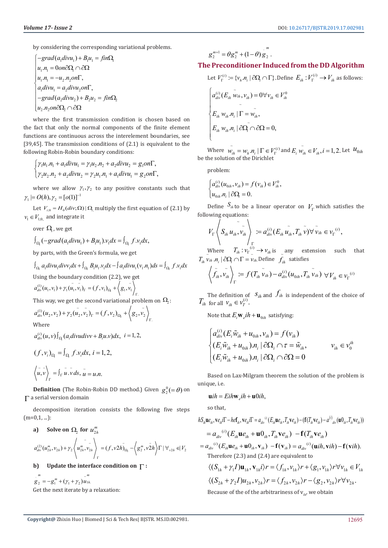by considering the corresponding variational problems.

$$
\begin{cases}\n-grad(a_1divu_1) + B_1u_1 = \hat{f}in\Omega_1 \\
u_1.n_1 = 0on\partial\Omega_1 \cap \partial\Omega \\
u_1.n_1 = -u_2.n_2on\Gamma, \\
a_1divu_1 = a_2divu_2on\Gamma, \\
-grad(a_2divu_2) + B_2u_2 = \hat{f}in\Omega_2 \\
u_2.n_2on\partial\Omega_2 \cap \partial\Omega\n\end{cases}
$$

where the first transmission condition is chosen based on the fact that only the normal components of the finite element functions are continuous across the interelement boundaries, see [39,45]. The transmission conditions of (2.1) is equivalent to the following Robin-Robin boundary conditions:

$$
\int \gamma_1 u_1.n_1 + a_1 \text{div} u_1 = \gamma_1 u_2.n_2 + a_2 \text{div} u_2 = g_1 \text{on} \Gamma,
$$
  

$$
\gamma_2 u_2.n_2 + a_2 \text{div} u_2 = \gamma_2 u_1.n_1 + a_1 \text{div} u_1 = g_2 \text{on} \Gamma,
$$

where we allow  $\gamma_1, \gamma_2$  to any positive constants such that  $\gamma_1 \models O(h), \gamma_2 = [o(1)]^{-1}$ 

Let  $V_{i,0} = H_0 (div, \Omega) | \Omega_1$  multiply the first equation of (2.1) by  $v_1 \in V_{1:0}$  and integrate it

over  $\Omega$ , we get

$$
\int_{\Omega_1} (-grad(a_1divu_1) + B_1u_1)v_1 dx = \int_{\Omega_1} f.v_1 dx,
$$

by parts, with the Green's formula, we get

$$
\int_{\Omega_1} a_1 \text{div} u_1 \text{div} v_1 \text{dx} + \int_{\Omega_1} B_1 u_1 v_1 \text{dx} - \int a_1 \text{div} u_1 (v_1, n_1) \text{dx} = \int_{\Omega_1} f.v_1 \text{dx}
$$
  
Using the boundary condition (2.2), we get  

$$
a_{div}^{(1)}(u_1, v_1) + \gamma_1 (u_1, v_1)_\Gamma = (f, v_1)_{\Omega_1} + \left\langle g_1, v_1 \right\rangle_{\Gamma_1}
$$
  
This way, we get the second variational problem on  $\Omega_2$ :  

$$
a_{div}^{(1)}(u_2, v_2) + \gamma_2 (u_2, v_2)_\Gamma = (f, v_2)_{\Omega_2} + \left\langle g_2, v_2 \right\rangle_{\Gamma_1}
$$
  
Where

$$
a_{div}^{(i)}(u,v)\int_{\Omega_i}(a_i divudivv+B_iu.v)dx, i=1,2,
$$

$$
(f, v_i)_{\Omega_i} = \int_{\Omega_i} f.v_i dx, i = 1, 2,
$$
  

$$
\langle \tilde{u}, \tilde{v} \rangle_{\Gamma} = \int_{\Gamma} \tilde{u} . \tilde{v} ds, \tilde{u} = u.n.
$$

**Definition** (The Robin-Robin DD method.) Given  $g_2^0 = \theta$ ) on Γ a serial version domain

decomposition iteration consists the following five steps  $(m=0,1,...):$ 

a) Solve on 
$$
\Omega_2
$$
 for  $u_{2h}^m$   

$$
a_{div}^{(2)}(u_{2h}^m, v_{2h}) + \gamma_2 \left\langle u_{2h}^m, v_{2h}^- \right\rangle_{\Gamma} = (f, v2h)_{\Omega_2} - \left\langle g_2^m, v2h \right\rangle_{\Gamma} |\forall_{v2h} \in V_2
$$

**b) Update the interface condition on** Γ **:**

 $g_2 = -g_1^m + (\gamma_1 + \gamma_2) u_{1h}$  $m \sim m$ Get the next iterate by a relaxation:

$$
g_2^{m+1} = \theta g_2^m + (1-\theta) g_2^m.
$$

### **The Preconditioner Induced from the DD Algorithm**

Let 
$$
V_{\Gamma}^{(i)} := \{v_h.n_i \mid \partial\Omega_i \cap \Gamma\}
$$
. Define  $E_{ih}: V_{\Gamma}^{(i)} \to V_{ih}$  as follows:

$$
\begin{cases}\na_{div}^{(i)}(E_{ih}\ \tilde{w}_{ih}, v_{ih}) = 0 \forall v_{ih} \in V_{ih}^0 \\
E_{ih}\ w_{ih} n_i |\Gamma = \tilde{w}_{ih}, \\
E_{ih}\ w_{ih} n_i |\partial \tilde{\Omega}_1 \cap \partial \Omega = 0,\n\end{cases}
$$

Where  $\tilde{w}_{ih} = w_{h}.n_{i} \mid \Gamma \in V_{\Gamma}^{(i)}$  and  $E_{i} \tilde{w}_{ih} \in V_{ih}, i = 1, 2$ . Let  $u_{0ih}$ be the solution of the Dirichlet

problem:

$$
\begin{cases} a_{div}^{(i)}(u_{0ih}, v_{ih}) = f(v_{ih}) \in V_{ih}^0, \\ u_{0ih}.n_i \mid \partial \Omega_i = 0. \end{cases}
$$

Define  $S_{ik}$  to be a linear operator on  $V<sub>r</sub>$  which satisfies the following equations:

$$
V_{\Gamma}\left\langle S_{ih} u_{ih}, \tilde{v}_{ih} \right\rangle_{\Gamma} := a_{div}^{(i)}(E_{ih} u_{ih}, T_{ih} \tilde{v}) \forall \tilde{v}_{ih} \in v_{\Gamma}^{(i)},
$$
  
Where  $T_{ik}: v_{\Gamma}^{(i)} \to v_{ik}$  is any extension such

Where  $T_{ih} : v_{\Gamma}^{(i)} \to v_{ih}$  is any extension such that  $T_{ih}$   $\vec{v}_{ih}$   $\vec{n}_i \mid \partial \Omega_i \cap \Gamma = \vec{v}_{ih}$  Define  $\tilde{f}_{ih}$ satisfies

$$
\left\langle \tilde{f}_{ih}, \tilde{v}_{ih} \right\rangle_{\Gamma} := f(T_{ih} \tilde{v}_{ih}) - a_{div}^{(i)}(u_{0ih}, T_{ih} \tilde{v}_{ih}) \ \forall V_{ih} \in v_{\Gamma}^{(i)}
$$

The definition of  $S_{ih}$  and  $f_{ih}$  is independent of the choice of  $T_{ih}$  for all  $v_{ih} \in v_T^{(i)}$ .

Note that  $E_i \mathbf{w}_e i h + \mathbf{u}_{0ih}$  satisfying:

$$
\begin{cases}\na_{div}^{(i)}(E_i\tilde{w}_{ih} + u_{0ih}, v_{ih}) = f(v_{ih}) \\
(E_i\tilde{w}_{ih} + u_{0ih})\cdot n_i | \partial\Omega_i \cap \tau = \tilde{w}_{ih}, & v_{ih} \in v_0^{ih} \\
(E_i\tilde{w}_{ih} + u_{0ih})\cdot n_i | \partial\Omega_i \cap \partial\Omega = 0\n\end{cases}
$$

Based on Lax-Milgram theorem the solution of the problem is unique, i.e.

$$
\mathbf{u}ih = Eih\mathbf{w}_e ih + \mathbf{u} 0 ih,
$$

so that,

$$
hS_{ih}\mathbf{u}e_{ih},\mathbf{v}e_{ih}\mathbf{i}\Gamma-h\mathbf{e}\mathbf{f}_{ih},\mathbf{v}e_{ih}\mathbf{i}\Gamma=a_{div}^{(i)}(E_{ih}\mathbf{u}e_{ih},T_{ih}\mathbf{v}e_{ih})-(\mathbf{f}(T_{ih}\mathbf{v}e_{ih})-a^{(i)}_{div}(\mathbf{u}0_{ih},T_{ih}\mathbf{v}e_{ih}))
$$
  
\n
$$
=a_{div}^{(i)}(E_{ih}\mathbf{u}e_{ih}+\mathbf{u}0_{ih},T_{ih}\mathbf{v}e_{ih})-\mathbf{f}(T_{ih}\mathbf{v}e_{ih})
$$
  
\n
$$
=a_{div}^{(i)}(E_{ih}\mathbf{u}e_{ih}+\mathbf{u}0_{ih},\mathbf{v}_{ih})-\mathbf{f}(\mathbf{v}_{ih})=a_{div}^{(i)}(\mathbf{u}ih,\mathbf{v}ih)-\mathbf{f}(\mathbf{v}ih).
$$
  
\nTherefore (2.3) and (2.4) are equivalent to  
\n
$$
\langle (S_{1h}+\gamma_1I)\mathbf{u}_{1h},\mathbf{v}_{1h}\rangle r = \langle f_{1h},v_{1h}\rangle r + \langle g_1,v_{1h}\rangle r \forall v_{1h} \in V_{1h}
$$
  
\n
$$
\langle (S_{2h}+\gamma_2I)\mathbf{u}_{2h},v_{2h}\rangle r = \langle f_{2h},v_{2h}\rangle r - \langle g_2,v_{2h}\rangle r \forall v_{2h}.
$$
  
\nBecause of the of the arbitrariness of  $\mathbf{v}_{in}$ , we obtain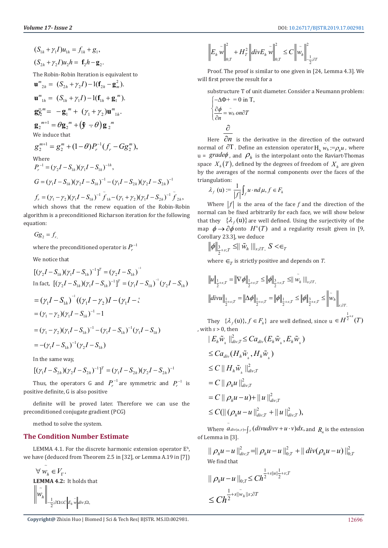$$
(S_{1h} + \gamma_1 I)u_{1h} = f_{1h} + g_1,
$$
  
\n
$$
(S_{2h} + \gamma_2 I)u_2h = \mathbf{f}_2h - \mathbf{g}_2.
$$
  
\nThe Robin-Robin iteration is equivalent to  
\n
$$
\mathbf{u}^m_{2h} = (S_{2h} + \gamma_2 I) - 1(\mathbf{f}_{2h} - \mathbf{g}_m^2).
$$
  
\n
$$
\mathbf{u}^m_{1h} = (S_{1h} + \gamma_1 I) - 1(\mathbf{f}_{1h} + \mathbf{g}_1^m).
$$
  
\n
$$
\mathbf{g}_2^m = -\mathbf{g}_1^m + (\gamma_1 + \gamma_2)\mathbf{u}^m_{1h}.
$$
  
\n
$$
\mathbf{g}_2^{m+1} = \theta \mathbf{g}_2^m + (\mathbf{\hat{y}} - \theta) \mathbf{g}_2^m
$$
  
\nWe induce that  
\n
$$
g_2^{m+1} = g_2^m + (1 - \theta)P_r^{-1}(f_r - Gg_2^m),
$$
  
\nWhere  
\n
$$
P_r^{-1} = (\gamma_2 I - S_{1h})(\gamma_1 I - S_{1h})^{-1h},
$$
  
\n
$$
G = (\gamma_1 I - S_{1h})(\gamma_2 I - S_{1h})^{-1} - (\gamma_1 I - S_{2h})(\gamma_2 I - S_{2h})^{-1}
$$
  
\n
$$
f_r = (\gamma_1 - \gamma_2)(\gamma_1 I - S_{1h})^{-1} \tilde{f}_{1h} - (\gamma_1 + \gamma_2)(\gamma_1 I - S_{2h})^{-1} \tilde{f}_{2h},
$$

which shows that the renew equation of the Robin-Robin algorithm is a preconditioned Richarson iteration for the following equation:

 $Gg_2 = f_1$ 

where the preconditioned operator is  $P_r^{-1}$ 

We notice that

$$
[(\gamma_2 I - S_{1h})(\gamma_1 I - S_{1h})^{-1}]^T = (\gamma_2 I - S_{1h})^{-1}
$$
  
\nIn fact, 
$$
[(\gamma_2 I - S_{1h})(\gamma_1 I - S_{1h})^{-1}]^T = (\gamma_1 I - S_{1h})^{-1}(\gamma_2 I - S_{1h})
$$
  
\n
$$
= (\gamma_1 I - S_{1h})^{-1}((\gamma_1 I - \gamma_2)I - (\gamma_1 I - \gamma_1I - \gamma_1I - \gamma_2I - \gamma_1I - \gamma_2I)(\gamma_1 I - S_{1h})^{-1} - 1
$$
  
\n
$$
= (\gamma_1 - \gamma_2)(\gamma_1 I - S_{1h})^{-1} - (\gamma_1 I - S_{1h})^{-1}(\gamma_1 I - S_{1h})
$$
  
\n
$$
= -(\gamma_1 I - S_{1h})^{-1}(\gamma_2 I - S_{1h})
$$

In the same way,

$$
[(\gamma_1 I - S_{2h})(\gamma_2 I - S_{2h})^{-1}]^T = (\gamma_1 I - S_{2h})(\gamma_2 I - S_{2h})^{-1}
$$

Thus, the operators G and  $P_r^{-1}$  are symmetric and  $P_r^{-1}$  is positive definite, G is also positive

definite will be proved later. Therefore we can use the preconditioned conjugate gradient (PCG)

method to solve the system.

#### **The Condition Number Estimate**

LEMMA 4.1. For the discrete harmonic extension operator  $E<sup>h</sup>$ , we have (deduced from Theorem 2.5 in [32], or Lemma A.19 in [7])

$$
\begin{aligned}\n\forall \ \stackrel{\sim}{\mathcal{W}_h} &\in V_\Gamma. \\
\textbf{LEMMA 4.2: It holds that} \\
\begin{bmatrix}\n\widetilde{\mathcal{W}}_h\n\end{bmatrix} &\n\begin{bmatrix}\n\widetilde{\mathcal{W}}_h \\
\widetilde{\mathcal{W}}_h\n\end{bmatrix} &\n\begin{bmatrix}\n\widetilde{\mathcal{W}}_h \\
\widetilde{\mathcal{W}}_h\n\end{bmatrix} &\n\begin{bmatrix}\n\widetilde{\mathcal{W}}_h \\
\widetilde{\mathcal{W}}_h\n\end{bmatrix} &\n\begin{bmatrix}\n\widetilde{\mathcal{W}}_h\n\end{bmatrix} &\n\widetilde{\mathcal{W}}_h\n\end{aligned}
$$

#### <sup>2</sup>  $\left\|H^2\right\|_{div} F \left\| \mathbb{Z} \right\|^2 \leq C \left\| \mathbb{Z} \right\|^2$  $\|h \|_{0,T}$   $\|H I T \|\|_{0,T}$   $\leq C \|h \|_{0,T}$ 2  $E_h w \| + H_T^2 \|div E_h w \| \leq C \|w\|$ −÷;∂  $\begin{vmatrix} \tilde{w} \\ w \end{vmatrix}^2 + H_T^2 \left\| \tilde{div} E_h \tilde{w} \right\|^2 \leq C \left\| \tilde{w} \right\|^2$

Proof. The proof is similar to one given in [24, Lemma 4.3]. We will first prove the result for a

substructure T of unit diameter. Consider a Neumann problem:  $\int -\Delta \Phi + 0$  in T,

$$
\begin{cases} \frac{\partial \phi}{\partial n} = \tilde{w}_h \text{ on } \partial T \\ \frac{\partial}{\partial n} \end{cases}
$$

Here  $\partial n$  is the derivative in the direction of the outward normal of  $\partial T$ . Define an extension operator  $H_h$   $w_h := \rho_h u$ , where  $u = \text{grade}\phi$ , and  $\rho_h$  is the interpolant onto the Raviart-Thomas space  $X_h(T)$ , defined by the degrees of freedom of  $X_h$  are given by the averages of the normal components over the faces of the triangulation:

$$
\lambda_f\ (u) := \frac{1}{|f|} \int_f u \cdot nd\,\mu, f \in F_h
$$

Where  $|f|$  is the area of the face f and the direction of the normal can be fixed arbitrarily for each face, we will show below that they  $\{\lambda_f(u)\}$  are well defined. Using the surjectivity of the map  $\phi \rightarrow \partial \phi$  onto  $H^s(T)$  and a regularity result given in [9, Corollary 23.3], we deduce

$$
\|\phi\|_{\frac{3}{2}+s;T}\leq \parallel \tilde{w}_h\parallel\mid_{s;\partial T,\,}S<\in_I
$$

where  $\epsilon_r$  is strictly positive and depends on *T*.

$$
||u||_{\frac{1}{2}+s;T} = ||\nabla \phi||_{\frac{1}{2}+s;T} \le ||\phi||_{\frac{3}{2}+s;T} \le ||\tilde{w}_h||_{s;\partial T}
$$
  

$$
||divu||_{\frac{1}{2}+s;T} = ||\Delta \phi||_{\frac{1}{2}+s;T} = ||\phi||_{\frac{1}{2}+s;T} \le ||\phi||_{\frac{3}{2}+s;T} \le ||\tilde{w}_h||_{s;\partial T}
$$

They  $\{\lambda_f(u)\}, f \in F_h\}$  are well defined, since  $u \in H^{\frac{1}{2}+s}(T)$ , with *s* > 0, then  $\overline{2}$   $\overline{2}$   $\overline{2}$ 

$$
|E_h \widetilde{w}_h||_{div;T}^2 \leq Ca_{div}(E_h \widetilde{w}_h, E_h \widetilde{w}_h)
$$
  
\n
$$
\leq Ca_{div}(H_h \widetilde{w}_h, H_h \widetilde{w}_h)
$$
  
\n
$$
\leq C || H_h \widetilde{w}_h ||_{div;T}^2
$$
  
\n
$$
= C || \rho_h u ||_{div;T}^2
$$
  
\n
$$
= C || \rho_h u - u) + || u ||_{div;T}^2
$$
  
\n
$$
\leq C (|| (\rho_h u - u ||_{div;T}^2 + || u ||_{div;T}^2),
$$

Where  $a_{div(u,v)=\int_{T} (divudivv + u \cdot v) dx$ , and  $R_n$  is the extension  $\overline{\phantom{0}}$ of Lemma in [3].

$$
\|\rho_h u - u\|_{div;T}^2 = \|\rho_h u - u\|_{0;T}^2 + \|div(\rho_h u - u)\|_{0;T}^2
$$
  
 We find that

$$
\|\rho_h u - u\|_{0;T} \leq C h^{\frac{1}{2}+s\|u\|^{\frac{1}{2}+s;T}} \leq C h^{\frac{1}{2}+s\|\tilde{w}_h\|^{\frac{1}{2}+s;T}}
$$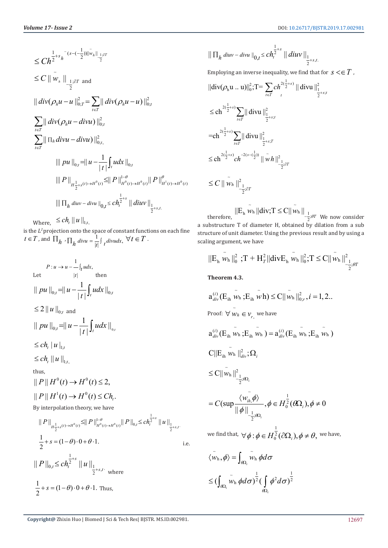$$
\leq Ch^{\frac{1}{2}+s_{h}^{-}(s-(-\frac{1}{2}))\|\tilde{w}_{h}\|_{-\frac{1}{2};\partial T}}\n\leq C \|\tilde{w}_{h}\|_{-\frac{1}{2};\partial T and}\n\|div(\rho_{h}u-u)\|_{0;T}^{2} = \sum_{t\in T} ||div(\rho_{h}u-u)||_{0;t}^{2}\n\sum_{t\in T} ||div(\rho_{h}u-divu)||_{0;t}^{2}\n\sum_{t\in T} ||\prod_{h}divu - divu)||_{0;t}^{2}\n\| ||pu||_{0;t} = ||u - \frac{1}{|t|} \int_{t} u dx ||_{0;t} \n\| ||P||_{H^{\frac{1}{2}+s(t)\to H^{0}(t)}} \leq ||P||_{H^{0}(t)\to H^{0}(t)}^{1-\theta} ||P||_{H^{1}(t)\to H^{0}(t)}^{2}\n\| ||\prod_{h}div - divu||_{0,t} \leq Ch^{\frac{1}{2}+s} ||div||_{1}^{1-\theta}\n\| ||\prod_{h}div - divu||_{0,t} \leq Ch^{\frac{1}{2}+s} ||div||_{1}^{1-\theta}\n\leq \frac{1}{2}+s,t.
$$

Where,  $\leq c h_{t} \| u \|_{1;t}$ 

is the *L2*projection onto the space of constant functions on each fine  $t \in T$ , and  $\prod_h \prod_h div u = \frac{1}{|t|} \int_t div u dx$ ,  $\forall t \in T$ .

P: 
$$
u \rightarrow u - \frac{1}{t}u
$$
  
\nLet  $||t||$  then  
\n $||p u ||_{0,t} = ||u - \frac{1}{|t|} \int_t u dx ||_{0,t}$   
\n $\leq 2 ||u ||_{0,t}$  and  
\n $||p u ||_{0,t} = ||u - \frac{1}{|t|} \int_t u dx ||_{0,t}$   
\n $\leq ch_t ||u ||_{1,t}$   
\n $\leq ch_t ||u ||_{1,t}$   
\nthus,  
\n $||P||H^0(t) \rightarrow H^0(t) \leq 2$ ,  
\n $||P||H^1(t) \rightarrow H^0(t) \leq Ch_t$ .  
\nBy interpolation theory, we have  
\n $||P||_{H^{\frac{1}{2}+\frac{s}{2}}(\lambda) \rightarrow H^0(\lambda)} \leq ||P||_{H^0(\lambda) \rightarrow H^0(\lambda)}^{1-\theta} ||P||_{0,t} \leq ch_t^{\frac{1}{2}+\frac{s}{2}} ||u||_{\frac{1}{2}+\frac{s}{2},t}$ .  
\n $\frac{1}{2} + s = (1 - \theta) \cdot 0 + \theta \cdot 1$ .  
\n $||P||_{0,t} \leq ch_t^{\frac{1}{2}+\frac{s}{2}} ||u||_{\frac{1}{2}+\frac{s}{2},t}$ , where  
\n $\frac{1}{2} + s = (1 - \theta) \cdot 0 + \theta \cdot 1$ . Thus,

$$
\|\prod_{h} \text{div} - \text{div}u\|_{0,t} \le c h_{t}^{\frac{1}{2}+s} \|\text{div}v\|_{\frac{1}{2}+s,t}.
$$

Employing an inverse inequality, we find that for  $s \leq \in T$ ,

$$
\|\text{div}(\rho_h u \dots u)\|_0^2; \text{T} = \sum_{t \in T} ch^{2(\frac{1}{2}+s)} \|\text{div} u\|_{\frac{1}{2}+s;t}^2
$$
  
\n
$$
\leq \text{ch}^{2(\frac{1}{2}+s)} \sum_{t \in T} \|\text{div} u\|_{\frac{1}{2}+s;t}^2
$$
  
\n
$$
= \text{ch}^{2(\frac{1}{2}+s)} \sum_{t \in T} \|\text{div} u\|_{\frac{1}{2}+s;t}^2
$$
  
\n
$$
\leq \text{ch}^{2(\frac{1}{2}+s)} ch^{-2(s-(\frac{1}{2}))} \|\tilde{w}h\|_{-\frac{1}{2};\partial T}^2
$$
  
\n
$$
\leq C \|\tilde{w}_h\|_{-\frac{1}{2};\partial T}^2
$$

therefore,  $||E_h \ w_h||div; T \leq C || \ w_h ||_{-\frac{1}{2}; \theta T}$  We now consider a substructure T of diameter H, obtained by dilation from a sub structure of unit diameter. Using the previous result and by using a scaling argument, we have

$$
||E_h \ \tilde{w}_h||_0^2 \ ; T + H_T^2 ||div E_h \ \tilde{w}_h||_0^2 ; T \leq C || \ \tilde{w}_h ||_{-\frac{1}{2}; \theta T}^2
$$

**Theorem 4.3.**

$$
a_{div}^{(i)}(E_{ih} \tilde{w}_{h}; E_{ih} \tilde{w}h) \leq C || \tilde{w}_{h} ||_{0;r}^{2}, i = 1, 2..
$$
  
Proof:  $\forall \tilde{w}_{h} \in v_{r}$ , we have  

$$
a_{div}^{(i)}(E_{ih} \tilde{w}_{h}; E_{ih} \tilde{w}_{h}) = a_{div}^{(i)}(E_{ih} \tilde{w}_{h}; E_{ih} \tilde{w}_{h})
$$

$$
C || E_{ih} \tilde{w}_{h} ||_{div}^{2}; \Omega_{i}
$$

$$
\leq C || \tilde{w}_{h} ||_{-\frac{1}{2}; \Omega_{i}}^{2}
$$

$$
= C(\sup \frac{\langle \tilde{w}_{ih} \tilde{\phi} \rangle}{\|\phi\|_{-\frac{1}{2}; \Omega_{i}}}, \phi \in H_{0}^{\frac{1}{2}}(\partial \Omega_{i}), \phi \neq 0
$$

$$
\text{we find that, } \forall \phi : \phi \in H_{0}^{\frac{1}{2}}(\partial \Omega_{i}), \phi \neq \theta, \text{ we have,}
$$

$$
\langle \tilde{w}_{h}, \phi \rangle = \int_{\partial \Omega_{i}} \tilde{w}_{h} \phi d\sigma
$$
  

$$
\leq (\int_{\partial \Omega_{i}} \tilde{w}_{h} \phi d\sigma)^{\frac{1}{2}} (\int_{\partial \Omega_{i}} \phi^{2} d\sigma)^{\frac{1}{2}}
$$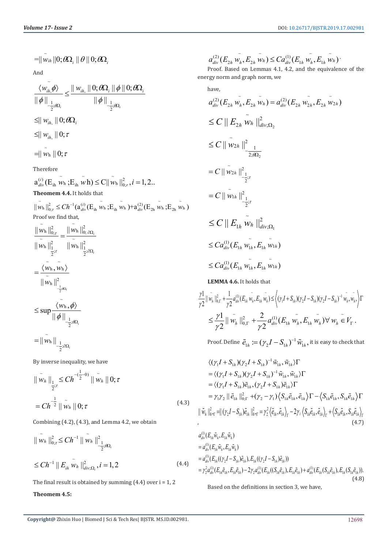$=$  $\|\tilde{w}_{ih}\|0;\theta\Omega_i\| \theta\|0;\theta\Omega_i$ And  $, \mathcal{V}'$   $\cup$   $\mathsf{I} \mathsf{I} \mathsf{w}_{ih}$  $\frac{1}{2}$ ; $\theta \Omega_i$   $||\psi||_{-\frac{1}{2}}$ ;  $|| w_{i h} || 0; \theta \Omega_{i} || \phi || 0;$  $\|\phi\|_{\frac{1}{2};\partial\Omega_i}$   $\|\phi\|_{\frac{1}{2};\partial\Omega_i}$  $\langle w_{ih} \phi \rangle \quad \text{and} \quad W_{ih} \parallel 0; \theta \Omega_i \parallel \phi \parallel 0; \theta \Omega_i$  $\theta$ 90.  $-\theta$  $\ket{\phi}$   $\parallel$   $\ket{w_{ik}}$   $\parallel$   $0$ ;  $\theta \Omega_i$   $\parallel$   $\phi$   $\parallel$   $0$ ;  $\theta$  $\|\phi\|_{\frac{1}{\sqrt{2}}(\partial\Omega)}$   $\|\phi\|_{\frac{1}{\sqrt{2}}(\partial\Omega)}$  $\langle W_{ih,\phi} \rangle \over \langle W_{ih,\phi} \rangle} \leq \frac{\|W_{ih,\phi}\|_{\phi} \partial \Omega_{i,\phi} \|\phi\|_{\phi} \partial \Omega_{i,\phi}}{\|W_{ih,\phi}\|_{\phi} \sqrt{2\pi} \sqrt{2\pi}}$  $\leq$   $\| w_{ih} \|$   $\|$   $\theta$ ;  $\theta \Omega_i$  $\leq$ ||  $w_{ih}$  || 0;  $\tau$  $=$ ||  $w_h$  || 0;  $\tau$ 

Therefore

$$
a_{div}^{(i)}(E_{ih} \stackrel{\sim}{w_h}; E_{ih} \stackrel{\sim}{w_h}) \leq C || \stackrel{\sim}{w_h} ||_{0; r}^2, i = 1, 2...
$$
  
**Theomem 4.4.** It holds that

 $\|\tilde{w}_{\rm h}\|_{0;\tau}^2 \leq Ch^{-1}(\boldsymbol{a}_{div}^{(i)}(\boldsymbol{\rm E}_{\rm in} \ \tilde{\boldsymbol{w}}_{\rm h}\,;\boldsymbol{\rm E}_{\rm in} \ \tilde{\boldsymbol{w}}_{\rm h}\,) + \boldsymbol{a}_{div}^{(2)}(\boldsymbol{\rm E}_{\rm 2h} \ \tilde{\boldsymbol{w}}_{\rm h}\,;\boldsymbol{\rm E}_{\rm 2h} \ \tilde{\boldsymbol{w}}_{\rm h}\,)$ Proof we find that,

$$
\frac{\|\tilde{w}_{h}\|_{0;\tau}^{2}}{\|\tilde{w}_{h}\|_{1;\tau}^{2}} = \frac{\|\tilde{w}_{h}\|_{0;\partial\Omega_{i}}^{2}}{\|\tilde{w}_{h}\|_{1;\partial\Omega_{i}}^{2}}
$$
\n
$$
= \frac{\langle \tilde{w}_{h}, \tilde{w}_{h}\rangle}{\|\tilde{w}_{h}\|_{-\frac{1}{2}(\Omega_{i})}^{2}}
$$
\n
$$
\leq \sup \frac{\langle \tilde{w}_{h}, \tilde{\phi}\rangle}{\|\phi\|_{-\frac{1}{2};\partial\Omega_{i}}}
$$
\n
$$
= \|\tilde{w}_{h}\|_{-\frac{1}{2};\partial\Omega_{i}}
$$

By inverse inequality, we have

$$
\|\tilde{w}_h\|_{\frac{1}{2};\tau} \le Ch^{-(\frac{1}{2}-0)} \|\tilde{w}_h\| 0; \tau
$$
  
=  $Ch^{-\frac{1}{2}} \|\tilde{w}_h\| 0; \tau$  (4.3)

Combining (4.2), (4.3), and Lemma 4.2, we obtain

$$
\|\tilde{w}_h\|_{0;\tau}^2 \le Ch^{-1} \|\tilde{w}_h\|_{-\frac{1}{2}(\partial \Omega_i)}^2
$$
  

$$
\le Ch^{-1} \|E_{ih} \tilde{w}_h\|_{div;\Omega_i}^2, i=1,2
$$
 (4.4)

The final result is obtained by summing  $(4.4)$  over  $i = 1, 2$ 

#### **Theomem 4.5:**

$$
a_{div}^{(2)}(E_{2h} \tilde{w_h}, E_{2h} \tilde{w_h}) \leq Ca_{div}^{(1)}(E_{1h} \tilde{w_h}, E_{1h} \tilde{w_h})
$$

Proof. Based on Lemmas 4.1, 4.2, and the equivalence of the energy norm and graph norm, we

have,  
\n
$$
a_{div}^{(2)}(E_{2h} w_h, E_{2h} w_h) = a_{div}^{(2)}(E_{2h} w_{2h}, E_{2h} w_{2h})
$$
\n
$$
\leq C ||E_{2h} w_h||_{div;\Omega_2}^2
$$
\n
$$
\leq C ||\tilde{w}_{2h}||_{div;\Omega_2}^2
$$
\n
$$
= C ||\tilde{w}_{2h}||_{div;\Omega_2}^2
$$
\n
$$
= C ||\tilde{w}_{2h}||_{div;\Omega_2}^2
$$
\n
$$
= C ||\tilde{w}_{1h}||_{div;\Omega_1}^2
$$
\n
$$
\leq C ||E_{1h} w_h||_{div;\Omega_1}^2
$$
\n
$$
\leq C a_{div}^{(1)}(E_{1h} w_h, E_{1h} w_{1h})
$$
\n
$$
\leq C a_{div}^{(1)}(E_{1h} w_{1h}, E_{1h} w_{1h})
$$

**LEMMA 4.6.** It holds that

$$
\frac{\gamma_1}{\gamma_2} \|\tilde{w_h}\|_{0,\Gamma}^2 + \frac{1}{\gamma_2} a_{div}^{(1)}(E_{1h} \tilde{w_h}, E_{1h} \tilde{w_h}) \leq \left\langle (\gamma_1 I + S_{1h})(\gamma_2 I - S_{1h})(\gamma_2 I - S_{1h})^{-1} \tilde{w_h}, \tilde{w_h} \right\rangle \Gamma
$$
  

$$
\leq \frac{\gamma_1}{\gamma_2} \|\tilde{w_h}\|_{0,\Gamma}^2 + \frac{2}{\gamma_2} a_{div}^{(1)}(E_{1h} \tilde{w_h}, E_{1h} \tilde{w_h}) \forall w_h \in V_{\Gamma}.
$$

Proof. Define  $\tilde{e}_{1h} \coloneqq (\gamma_2 I - S_{1h})^{-1} \tilde{w}_{1h}$ , it is easy to check that

$$
\langle (\gamma_1 I + S_{1h}) (\gamma_2 I + S_{1h})^{-1} \tilde{w}_{1h}, \tilde{w}_{1h} \rangle \Gamma
$$
  
\n
$$
= \langle (\gamma_1 I + S_{1h}) (\gamma_2 I + S_{1h})^{-1} \tilde{w}_{1h}, \tilde{w}_{1h} \rangle \Gamma
$$
  
\n
$$
= \langle (\gamma_1 I + S_{1h}) \tilde{e}_{1h}, (\gamma_2 I + S_{1h}) \tilde{e}_{1h} \rangle \Gamma
$$
  
\n
$$
= \gamma_1 \gamma_2 || \tilde{e}_{1h} ||_{0;\Gamma}^2 + (\gamma_2 - \gamma_1) \langle S_{1h} \tilde{e}_{1h}, \tilde{e}_{1h} \rangle \Gamma - \langle S_{1h} \tilde{e}_{1h}, S_{1h} \tilde{e}_{1h} \rangle \Gamma
$$
  
\n
$$
|| \tilde{w}_h ||_{0;\Gamma}^2 = ||(\gamma_2 I - S_{1h}) \tilde{e}_{1h} ||_{0;\Gamma}^2 = \gamma_2^2 \langle \tilde{e}_{1h}, \tilde{e}_{1h} \rangle_{\Gamma} - 2\gamma_2 \langle S_{1h} \tilde{e}_{1h}, \tilde{e}_{1h} \rangle_{\Gamma} + \langle S_{1h} \tilde{e}_{1h}, S_{1h} \tilde{e}_{1h} \rangle_{\Gamma}
$$
  
\n(4.7)

$$
a_{div}^{(1)}(E_{1h}\tilde{w}_h, E_{1h}\tilde{w}_h)
$$
  
\n
$$
= a_{div}^{(1)}(E_{1h}\tilde{w}_h, E_{1h}\tilde{w}_h)
$$
  
\n
$$
= a_{div}^{(1)}(E_{1h}((\gamma_2 I - S_{1h})\tilde{e}_{1h}), E_{1h}((\gamma_2 I - S_{1h})\tilde{e}_{1h}))
$$
  
\n
$$
= \gamma_2^2 a_{div}^{(1)}(E_{1h}\tilde{e}_{1h}, E_{1h}\tilde{e}_{1h}) - 2\gamma_2 a_{div}^{(1)}(E_{1h}((S_{1h}\tilde{e}_{1h}), E_{1h}\tilde{e}_{1h}) + a_{div}^{(1)}(E_{1h}(S_{1h}\tilde{e}_{1h}), E_{1h}(S_{1h}\tilde{e}_{1h})).
$$
\n(4.8)

Based on the definitions in section 3, we have,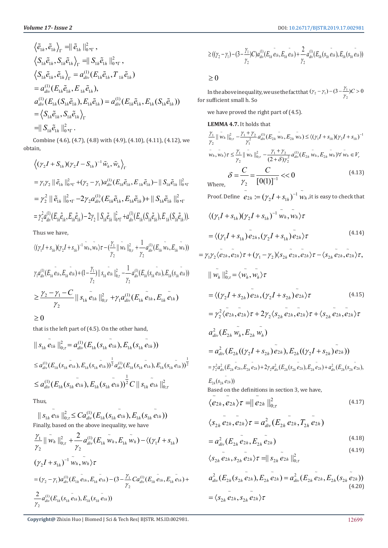$$
\langle \tilde{e}_{1h}, \tilde{e}_{1h} \rangle_{\Gamma} = || \tilde{e}_{1h} ||_{0}^{2} \rangle_{\Gamma},
$$
\n
$$
\langle S_{1h} \tilde{e}_{1h}, S_{1h} \tilde{e}_{1h} \rangle_{\Gamma} = || S_{1h} \tilde{e}_{1h} ||_{0}^{2} \rangle_{\Gamma},
$$
\n
$$
\langle S_{1h} \tilde{e}_{1h}, \tilde{e}_{1h} \rangle_{\Gamma} = a_{div}^{(1)} (E_{1h} \tilde{e}_{1h}, T_{1h} \tilde{e}_{1h})
$$
\n
$$
= a_{div}^{(1)} (E_{1h} \tilde{e}_{1h}, E_{1h} \tilde{e}_{1h}),
$$
\n
$$
a_{div}^{(1)} (E_{1h} (S_{1h} \tilde{e}_{1h}), E_{1h} \tilde{e}_{1h}) = a_{div}^{(1)} (E_{1h} \tilde{e}_{1h}, E_{1h} (S_{1h} \tilde{e}_{1h}))
$$
\n
$$
= \langle S_{1h} \tilde{e}_{1h}, S_{1h} \tilde{e}_{1h} \rangle_{\Gamma}
$$
\n
$$
= || S_{1h} \tilde{e}_{1h} ||_{0}^{2} \rangle_{\Gamma}.
$$

Combine (4.6), (4.7), (4.8) with (4.9), (4.10), (4.11), (4.12), we obtain,

$$
\langle (\gamma_2 I + S_{1h}) (\gamma_2 I - S_{1h})^{-1} \tilde{w}_h, \tilde{w}_h \rangle_{\Gamma}
$$
  
\n
$$
= \gamma_1 \gamma_2 || \tilde{e}_{1h} ||_{0 \rvert \Gamma}^2 + (\gamma_2 - \gamma_1) a_{div}^{(1)} (E_{1h} \tilde{e}_{1h}, E_{1h} \tilde{e}_{1h}) - || S_{1h} \tilde{e}_{1h} ||_{0 \rvert \Gamma}^2
$$
  
\n
$$
= \gamma_2^2 || \tilde{e}_{1h} ||_{0 \rvert \Gamma}^2 - 2 \gamma_2 a_{div}^{(1)} (E_{1h} \tilde{e}_{1h}, E_{1h} \tilde{e}_{1h}) + || S_{1h} \tilde{e}_{1h} ||_{0 \rvert \Gamma}^2
$$
  
\n
$$
= \gamma_2^2 a_{div}^{(1)} (E_{1h} \tilde{e}_{1h}, E_{1h} \tilde{e}_{1h}) - 2 \gamma_2 || S_{1h} \tilde{e}_{1h} ||_{0 \rvert \Gamma}^2 + a_{div}^{(1)} (E_{1h} (S_{1h} \tilde{e}_{1h}), E_{1h} (S_{1h} \tilde{e}_{1h})).
$$

Thus we have,

$$
\langle (\gamma_1 I + s_{1h}) (\gamma_2 I + s_{1h})^{-1} \tilde{w}_h, \tilde{w}_h \rangle \tau - (\frac{\gamma_1}{\gamma_2} || \tilde{w}_h ||_{0; \tau}^2 + \frac{1}{\gamma_2} a_{div}^{(1)} (E_{1h} \tilde{w}_h, E_{1h} \tilde{w}_h))
$$
  

$$
\gamma_1 a_{div}^{(1)} (E_{1h} \tilde{e}_{1h}, E_{1h} \tilde{e}_{1h}) + (1 - \frac{\gamma_1}{\gamma_2}) || s_{1h} \tilde{e}_{1h} ||_{0; \tau}^2 - \frac{1}{\gamma_2} a_{div}^{(1)} (E_{1h} (s_{1h} \tilde{e}_{1h}), E_{1h} (s_{1h} \tilde{e}_{1h}))
$$
  

$$
\geq \frac{\gamma_2 - \gamma_1 - C}{\gamma_2} || s_{1h} \tilde{e}_{1h} ||_{0; \tau}^2 + \gamma_1 a_{div}^{(1)} (E_{1h} \tilde{e}_{1h}, E_{1h} \tilde{e}_{1h})
$$

 $\geq 0$ 

that is the left part of (4.5). On the other hand,

$$
\|S_{1h} e_{1h}\|_{0;\tau}^{2} = a_{div}^{(1)}(E_{1h}(s_{1h} e_{1h}), E_{1h}(s_{1h} e_{1h}))
$$
  
\n
$$
\leq a_{div}^{(1)}(E_{1h}(s_{1h} e_{1h}), E_{1h}(s_{1h} e_{1h}))^{\frac{1}{2}} a_{div}^{(1)}(E_{1h}(s_{1h} e_{1h}), E_{1h}(s_{1h} e_{1h}))^{\frac{1}{2}}
$$
  
\n
$$
\leq a_{div}^{(1)}(E_{1h}(s_{1h} e_{1h}), E_{1h}(s_{1h} e_{1h}))^{\frac{1}{2}} C \|S_{1h} e_{1h}\|_{0;\tau}^{2}
$$

Thus,

$$
\|S_{1h} \tilde{e}_{1h}\|_{0;\tau}^{2} \leq C a_{div}^{(1)}(E_{1h}(s_{1h} \tilde{e}_{1h}), E_{1h}(s_{1h} \tilde{e}_{1h}))
$$
  
Finally, based on the above inequality, we have  

$$
\frac{\gamma_{1}}{\gamma_{1}} \|\tilde{w}_{h}\|_{0;\tau}^{2} + \frac{2}{\gamma_{1}} a_{div}^{(1)}(E_{1h} \tilde{w}_{h}, E_{1h} \tilde{w}_{h}) - \langle (\gamma_{1}I + s_{1h})
$$

$$
\gamma_2 \gamma_2 \gamma_1
$$
  
\n
$$
(\gamma_2 I + s_{1h})^{-1} \tilde{w}_h, \tilde{w}_h \rangle \tau
$$
  
\n
$$
= (\gamma_2 - \gamma_1) a_{div}^{(1)} (E_{1h} e_{1h}, E_{1h} e_{1h}) - (3 - \frac{\gamma_1}{\gamma_2} C a_{div}^{(1)} (E_{1h} e_{1h}, E_{1h} e_{1h}) + \frac{2}{\gamma_2} a_{div}^{(1)} (E_{1h} (s_{1h} e_{1h}), E_{1h} (s_{1h} e_{1h}))
$$

$$
\geq ((\gamma_2 - \gamma_1) - (3 - \frac{\gamma_1}{\gamma_2})C)a_{div}^{(1)}(E_{1h} \tilde{e}_{1h}, E_{1h} \tilde{e}_{1h}) + \frac{2}{\gamma_2} a_{div}^{(1)}(E_{1h} (s_{1h} \tilde{e}_{1h}), E_{1h} (s_{1h} \tilde{e}_{1h}))
$$

 $\geq 0$ 

In the above inequality, we use the fact that  $(\gamma_2 - \gamma_1) - (3 - \frac{\gamma_1}{\gamma_2})$  $(\gamma_2 - \gamma_1) - (3 - \frac{\gamma_1}{\gamma_2})C > 0$ for sufficient small h. So

we have proved the right part of (4.5).

**LEMMA 4.7.** It holds that

$$
\frac{\gamma_1}{\gamma_2} || \tilde{w}_h ||_{0; \tau}^2 - \frac{\gamma_1 + \gamma_2}{\gamma_1^2} a_{div}^{(1)}(E_{2h} \tilde{w}_h, E_{2h} \tilde{w}_h) \le \langle (\gamma_1 I + s_{1h}) (\gamma_2 I + s_{1h})^{-1}
$$
  

$$
\tilde{w}_h, \tilde{w}_h \rangle \tau \le \frac{\gamma_1}{\gamma_2} || \tilde{w}_h ||_{0; \tau}^2 - \frac{\gamma_1 + \gamma_2}{(2 + \delta) \gamma_2^2} a_{div}^{(1)}(E_{2h} \tilde{w}_h, E_{2h} \tilde{w}_h) \forall \tilde{w}_h \in V_r
$$
  

$$
\delta = \frac{C}{\gamma_2} = \frac{C}{[0(1)]^{-1}} \langle 0 \rangle
$$
(4.13)

Proof. Define  $\tilde{e}_{2h} := (\gamma_2 I + s_{1h})^{-1} \tilde{w}_h$  , it is easy to check that

$$
\langle (\gamma_1 I + s_{1h}) (\gamma_2 I + s_{1h})^{-1} \tilde{w}_h, \tilde{w}_h \rangle \tau
$$
  
=  $\langle (\gamma_1 I + s_{1h}) \tilde{e}_{2h}, (\gamma_2 I + s_{1h}) \tilde{e}_{2h} \rangle \tau$  (4.14)

$$
= \gamma_{1}\gamma_{2}\langle e_{2h}, e_{2h}\rangle\tau + (\gamma_{1} - \gamma_{2})\langle s_{2h}, e_{2h}, e_{2h}\rangle\tau - \langle s_{2h}, e_{2h}, e_{2h}\rangle\tau,
$$
  
\n
$$
|| \tilde{w_{h}} ||_{0,\tau}^{2} = \langle \tilde{w_{h}}, \tilde{w_{h}} \rangle\tau
$$
  
\n
$$
= \langle (\gamma_{2}I + s_{2h}) e_{2h}, (\gamma_{2}I + s_{2h}) e_{2h}\rangle\tau
$$
  
\n
$$
= \gamma_{2}^{2}\langle e_{2h}, e_{2h}\rangle\tau + 2\gamma_{2}\langle s_{2h}, e_{2h}, e_{2h}\rangle\tau + \langle s_{2h}, e_{2h}, e_{2h}\rangle\tau
$$
  
\n
$$
a_{div}^{2}(E_{2h} \tilde{w_{h}}, E_{2h} \tilde{w_{h}})
$$
  
\n
$$
= a_{div}^{2}(E_{2h}((\gamma_{2}I + s_{2h}) e_{2h}), E_{2h}((\gamma_{2}I + s_{2h}) e_{2h}))
$$
  
\n
$$
= \gamma_{2}^{2}a_{div}^{2}(E_{2h} e_{2h}, E_{2h} e_{2h}) + 2\gamma_{2}a_{div}^{2}(E_{2h}(s_{2h} e_{2h}), E_{2h} e_{2h}) + a_{div}^{2}(E_{2h}(s_{2h} e_{2h}),
$$

 $E_{2h}(\overline{s}_{2h}e_{2h})$ Based on the definitions in section 3, we have,

$$
\langle \tilde{e}_{2h}, \tilde{e}_{2h} \rangle \tau = || \tilde{e}_{2h} ||_{0;\tau}^2
$$
 (4.17)

$$
\langle \tilde{S}_{2h} e_{2h}, e_{2h} \rangle \tau = a_{div}^2 (E_{2h} e_{2h}, T_{2h} e_{2h})
$$

$$
= a_{div}^2 (E_{2h} \tilde{e}_{2h}, E_{2h} \tilde{e}_{2h})
$$
\n(4.18)

$$
\langle s_{2h} \, \tilde{e}_{2h}, s_{2h} \, \tilde{e}_{2h} \rangle \tau = || s_{2h} \, \tilde{e}_{2h} ||_{0;\tau}^2 \tag{4.19}
$$

$$
a_{div}^{2}(E_{2h}(s_{2h}\tilde{e}_{2h}), E_{2h}\tilde{e}_{2h}) = a_{div}^{2}(E_{2h}\tilde{e}_{2h}, E_{2h}(s_{2h}\tilde{e}_{2h}))
$$
  
=  $\langle s_{2h}\tilde{e}_{2h}, s_{2h}\tilde{e}_{2h}\rangle\tau$  (4.20)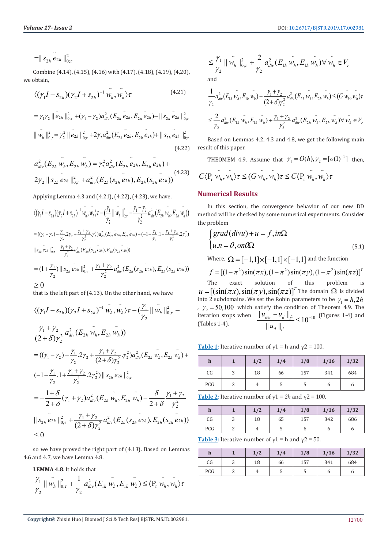$=$  $\|S_{2h} e_{2h}\|_{0;\tau}^2$ 

Combine (4.14), (4.15), (4.16) with (4.17), (4.18), (4.19), (4,20), we obtain,

$$
\langle (\gamma_1 I - s_{2h}) (\gamma_2 I + s_{2h})^{-1} \tilde{w_h}, \tilde{w_h} \rangle \tau \tag{4.21}
$$

$$
= \gamma_1 \gamma_2 \parallel \tilde{e}_{2h} \parallel_{0;\tau}^2 + (\gamma_1 - \gamma_2) a_{div}^2 (E_{2h} \tilde{e}_{2h}, E_{2h} \tilde{e}_{2h}) - || s_{2h} \tilde{e}_{2h} ||_{0;\tau}^2
$$
  

$$
|| \tilde{w}_h ||_{0;\tau}^2 = \gamma_2^2 || \tilde{e}_{2h} ||_{0;\tau}^2 + 2\gamma_2 a_{div}^2 (E_{2h} \tilde{e}_{2h}, E_{2h} \tilde{e}_{2h}) + || s_{2h} \tilde{e}_{2h} ||_{0;\tau}^2
$$
  
(4.22)

$$
a_{div}^2(E_{2h} w_h, E_{2h} w_h) = \gamma_2^2 a_{div}^2(E_{2h} e_{2h}, E_{2h} e_{2h}) +
$$
  
2 $\gamma_2 || s_{2h} e_{2h} ||_{0; \tau}^2 + a_{div}^2(E_{2h} (s_{2h} e_{2h}), E_{2h} (s_{2h} e_{2h}))$  (4.23)

Applying Lemma 4.3 and (4.21), (4.22), (4.23), we have,

$$
\langle (\gamma_1 I - s_{2h}) (\gamma_2 I + s_{2h})^{-1} \overline{w_h}, \overline{w_h} \rangle \tau - \frac{\gamma_1}{\gamma_2} || \overline{w_h} ||_{0; \tau}^2 - \frac{\gamma_1 + \gamma_2}{\gamma_2^2} a_{div}^2 (E_{2h} \overline{w_h}, E_{2h} \overline{w_h}) )
$$
  
=  $((\gamma_1 - \gamma_2) - \frac{\gamma_1}{\gamma_2} . 2\gamma_2 + \frac{\gamma_1 + \gamma_2}{\gamma_2^2} . \gamma_2^2) a_{div}^2 (E_{2h} \overline{e_{2h}}, E_{2h} \overline{e_{2h}}) + (-1 - \frac{\gamma_1}{\gamma_2} . 1 + \frac{\gamma_1 + \gamma_2}{\gamma_2^2} . 2\gamma_2^2) ||s_{2h} \overline{e_{2h}} ||_{0; \tau}^2 + \frac{\gamma_1 + \gamma_2}{\gamma_2^2} a_{div}^2 (E_{2h} (s_{2h} \overline{e_{2h}}), E_{2h} (s_{2h} \overline{e_{2h}}))$   
=  $(1 + \frac{\gamma_1}{\gamma_2}) || s_{2h} \overline{e_{2h}} ||_{0; \tau}^2 + \frac{\gamma_1 + \gamma_2}{\gamma_2^2} a_{div}^2 (E_{2h} (s_{2h} \overline{e_{2h}}), E_{2h} (s_{2h} \overline{e_{2h}}))$   
 $\geq 0$ 

that is the left part of (4.13). On the other hand, we have

$$
\langle (\gamma_1 I - s_{2h}) (\gamma_2 I + s_{2h})^{-1} \tilde{w}_h, \tilde{w}_h \rangle \tau - (\frac{\gamma_1}{\gamma_2} || \tilde{w}_h ||_{0;\tau}^2 -
$$
  
\n
$$
\frac{\gamma_1 + \gamma_2}{(2+\delta)\gamma_2^2} a_{div}^2 (E_{2h} \tilde{w}_h, E_{2h} \tilde{w}_h))
$$
  
\n
$$
= ((\gamma_1 - \gamma_2) - \frac{\gamma_1}{\gamma_2} . 2\gamma_2 + \frac{\gamma_1 + \gamma_2}{(2+\delta)\gamma_2^2} . \gamma_2^2) a_{div}^2 (E_{2h} \tilde{w}_h, E_{2h} \tilde{w}_h) +
$$
  
\n
$$
(-1 - \frac{\gamma_1}{\gamma_2} . 1 + \frac{\gamma_1 + \gamma_2}{\gamma_2^2} . 2\gamma_2^2) || s_{2h} \tilde{e}_{2h} ||_{0;\tau}^2
$$
  
\n
$$
= -\frac{1+\delta}{2+\delta} (\gamma_1 + \gamma_2) a_{div}^2 (E_{2h} \tilde{w}_h, E_{2h} \tilde{w}_h) - \frac{\delta}{2+\delta} \frac{\gamma_1 + \gamma_2}{\gamma_2^2}
$$
  
\n
$$
|| s_{2h} \tilde{e}_{2h} ||_{0;\tau}^2 + \frac{\gamma_1 + \gamma_2}{(2+\delta)\gamma_2^2} a_{div}^2 (E_{2h} (s_{2h} \tilde{e}_{2h}), E_{2h} (s_{2h} \tilde{e}_{2h}))
$$
  
\n
$$
\leq 0
$$

so we have proved the right part of (4.13). Based on Lemmas 4.6 and 4.7, we have Lemma 4.8.

**LEMMA 4.8**. It holds that

$$
\frac{\gamma_1}{\gamma_2} \|\tilde{w_h}\|_{0;\tau}^2 + \frac{1}{\gamma_2} a_{div}^2 (E_{1h} \tilde{w_h}, E_{1h} \tilde{w_h}) \le \langle P_r \tilde{w_h}, \tilde{w_h} \rangle \tau
$$

$$
\leq \frac{\gamma_1}{\gamma_2} || \tilde{w}_h ||_{0;\tau}^2 + \frac{2}{\gamma_2} a_{div}^2 (E_{1h} \tilde{w}_h, E_{1h} \tilde{w}_h) \forall \tilde{w}_h \in V_r
$$

and

$$
\frac{1}{\gamma_2} a_{div}^2 (E_{1h} \tilde{w_h}, E_{1h} \tilde{w_h}) + \frac{\gamma_1 + \gamma_2}{(2 + \delta) \gamma_2^2} a_{div}^2 (E_{2h} \tilde{w_h}, E_{2h} \tilde{w_h}) \le (G \tilde{w_h}, \tilde{w_h}) \tau
$$
\n
$$
\le \frac{2}{\gamma_2} a_{div}^2 (E_{1h} \tilde{w_h}, E_{1h} \tilde{w_h}) + \frac{\gamma_1 + \gamma_2}{\gamma_2^2} a_{div}^2 (E_{2h} \tilde{w_h}, E_{2h} \tilde{w_h}) \forall \tilde{w_h} \in V_r
$$

Based on Lemmas 4.2, 4.3 and 4.8, we get the following main result of this paper.

THEOMEM 4.9. Assume that  $\gamma_1 = O(h), \gamma_2 = [o(1)^{-1}]$  then,

# $C \langle P_r w_h, w_h \rangle \tau \leq (G w_h, w_h) \tau \leq C \langle P_r w_h, w_h \rangle \tau$

#### **Numerical Results**

In this section, the convergence behavior of our new DD method will be checked by some numerical experiments. Consider the problem

$$
\begin{cases}\n\text{grad}(divu) + u = f, in\Omega \\
u.n = \theta, on\Omega\n\end{cases}
$$
\n(5.1)

Where,  $\Omega = \{-1,1\} \times \{-1,1\} \times \{-1,1\}$  and the function

$$
f = [(1 - \pi^2)\sin(\pi x), (1 - \pi^2)\sin(\pi y), (1 - \pi^2)\sin(\pi z)]^T
$$
  
The exact solution of this problem is

The exact solution of this problem is  $u = [(\sin(\pi x), \sin(\pi y), \sin(\pi z)]^T$  The domain  $\Omega$  is divided into 2 subdomains. We set the Robin parameters to be  $\gamma_1 = h$ , 2h ,  $\gamma_2 = 50,100$  which satisfy the condition of Theorem 4.9. The iteration stops when  $\| u_{\text{iter}} - u_d \|_{l^2}$  $\frac{2}{2}$  $\frac{||u_{iter} - u_d||_{l^2}}{||u_{iter}||_{l^2}} \leq 10^{-10}$  $|| u_d ||$ *iter*  $\begin{bmatrix} u_d & h_d \end{bmatrix}$ *d l*  $u_{\text{iter}} - u$ *u* iteration stops when  $\frac{||u_{iter} - u_d||_{l^2}}{||u_{\cdot}||_{\cdot}} \le 10^{-10}$  (Figures 1-4) and (Tables 1-4).

**Table 1:** Iterative number of  $\gamma$ 1 = h and  $\gamma$ 2 = 100.

| $\mathbf h$ |        | 1/2 | 1/4 | 1/8 | 1/16 | 1/32 |
|-------------|--------|-----|-----|-----|------|------|
| C G         | n<br>J | 18  | 66  | 157 | 341  | 684  |
| PCG         |        | 4   | J   | C   | O    | O    |

**Table 2:** Iterative number of  $y_1 = 2h$  and  $y_2 = 100$ .

| $\mathbf n$ |   | 1/2 | 1/4 | 1/8 | 1/16 | 1/32 |
|-------------|---|-----|-----|-----|------|------|
| CG          | ت | 18  | 65  | 157 | 342  | 686  |
| PCG         | ∸ |     |     |     |      |      |

**Table 3:** Iterative number of  $\gamma$ 1 = h and  $\gamma$ 2 = 50.

| h   |   | 1/2 | 1/4 | 1/8 | 1/16 | 1/32 |
|-----|---|-----|-----|-----|------|------|
| CG  | ◡ | 18  | 66  | 157 | 341  | 684  |
| PCG |   | 4   |     | J   |      |      |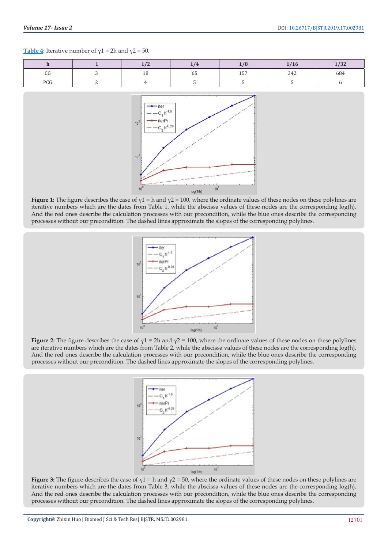#### **Table 4:** Iterative number of  $\gamma$ 1 = 2h and  $\gamma$ 2 = 50.

|              | $\overline{\phantom{a}}$ |    |            | w   | $\sqrt{2}$    |
|--------------|--------------------------|----|------------|-----|---------------|
| $\sim$<br>υu |                          | 65 | $- -$<br>∸ | 34. | $\sim$<br>684 |
| DCC<br>w     |                          |    |            |     |               |



**Figure 1:** The figure describes the case of γ1 = h and γ2 = 100, where the ordinate values of these nodes on these polylines are iterative numbers which are the dates from Table 1, while the abscissa values of these nodes are the corresponding log(h). And the red ones describe the calculation processes with our precondition, while the blue ones describe the corresponding processes without our precondition. The dashed lines approximate the slopes of the corresponding polylines.



**Figure 2:** The figure describes the case of  $\gamma$ 1 = 2h and  $\gamma$ 2 = 100, where the ordinate values of these nodes on these polylines are iterative numbers which are the dates from Table 2, while the abscissa values of these nodes are the corresponding log(h). And the red ones describe the calculation processes with our precondition, while the blue ones describe the corresponding processes without our precondition. The dashed lines approximate the slopes of the corresponding polylines.



**Figure 3:** The figure describes the case of  $\gamma$ 1 = h and  $\gamma$ 2 = 50, where the ordinate values of these nodes on these polylines are iterative numbers which are the dates from Table 3, while the abscissa values of these nodes are the corresponding log(h). And the red ones describe the calculation processes with our precondition, while the blue ones describe the corresponding processes without our precondition. The dashed lines approximate the slopes of the corresponding polylines.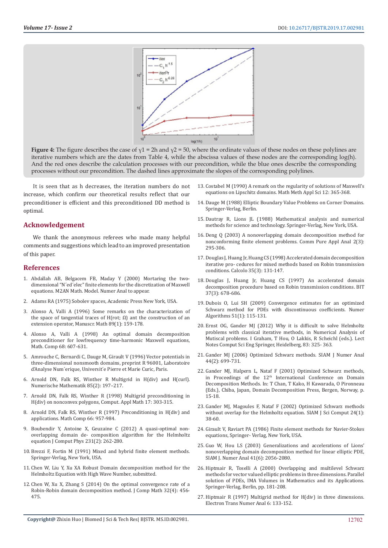

**Figure 4:** The figure describes the case of γ1 = 2h and γ2 = 50, where the ordinate values of these nodes on these polylines are iterative numbers which are the dates from Table 4, while the abscissa values of these nodes are the corresponding log(h). And the red ones describe the calculation processes with our precondition, while the blue ones describe the corresponding processes without our precondition. The dashed lines approximate the slopes of the corresponding polylines.

It is seen that as h decreases, the iteration numbers do not increase, which confirm our theoretical results reflect that our preconditioner is efficient and this preconditioned DD method is optimal.

#### **Acknowledgement**

We thank the anonymous referees who made many helpful comments and suggestions which lead to an improved presentation of this paper.

#### **References**

- 1. Abdallah AB, Belgacem FB, Maday Y (2000) Mortaring the twodimensional "N´ed´elec" finite elements for the discretization of Maxwell equations. M2AN Math. Model. Numer Anal to appear.
- 2. Adams RA (1975) Sobolev spaces, Academic Press New York, USA.
- 3. [Alonso A, Valli A \(1996\) Some remarks on the characterization of](https://link.springer.com/article/10.1007/BF02567511)  the space of tangential traces of  $H$ (rot; Ω) ant the construction of an [extension operator, Manuscr. Math 89\(1\): 159-178.](https://link.springer.com/article/10.1007/BF02567511)
- 4. [Alonso A, Valli A \(1998\) An optimal domain decomposition](https://www.ams.org/journals/mcom/1999-68-226/S0025-5718-99-01013-3/S0025-5718-99-01013-3.pdf)  [preconditioner for lowfrequency time-harmonic Maxwell equations,](https://www.ams.org/journals/mcom/1999-68-226/S0025-5718-99-01013-3/S0025-5718-99-01013-3.pdf)  [Math. Comp 68: 607-631.](https://www.ams.org/journals/mcom/1999-68-226/S0025-5718-99-01013-3/S0025-5718-99-01013-3.pdf)
- 5. [Amrouche C, Bernardi C, Dauge M, Girault V \(1996\) Vector potentials in](https://perso.univ-rennes1.fr/monique.dauge/publis/ABDG_VPot.pdf)  [three-dimensional nonsmooth domains, preprint R 96001, Laboratoire](https://perso.univ-rennes1.fr/monique.dauge/publis/ABDG_VPot.pdf)  [d'Analyse Num´erique, Universit´e Pierre et Marie Curic, Paris.](https://perso.univ-rennes1.fr/monique.dauge/publis/ABDG_VPot.pdf)
- 6. [Arnold DN, Falk RS, Winther R Multigrid in H\(div\) and H\(curl\).](https://link.springer.com/article/10.1007/PL00005386)  [Numerische Mathematik 85\(2\): 197–217.](https://link.springer.com/article/10.1007/PL00005386)
- 7. [Arnold DN, Falk RS, Winther R \(1998\) Multigrid preconditioning in](http://www-users.math.umn.edu/~arnold/papers/hdivn.pdf)  [H\(div\) on nonconvex polygons, Comput. Appl Math 17: 303-315.](http://www-users.math.umn.edu/~arnold/papers/hdivn.pdf)
- 8. [Arnold DN, Falk RS, Winther R \(1997\) Preconditioning in H\(div\) and](https://pdfs.semanticscholar.org/ae00/8922c192fe2ceba61db649db9b7c30e743f0.pdf)  [applications. Math Comp 66: 957-984.](https://pdfs.semanticscholar.org/ae00/8922c192fe2ceba61db649db9b7c30e743f0.pdf)
- 9. [Boubendir Y, Antoine X, Geuzaine C \(2012\) A quasi-optimal non](https://www.sciencedirect.com/science/article/pii/S0021999111004797)[overlapping domain de- composition algorithm for the Helmholtz](https://www.sciencedirect.com/science/article/pii/S0021999111004797)  [equation J Comput Phys 231\(2\): 262-280.](https://www.sciencedirect.com/science/article/pii/S0021999111004797)
- 10. [Brezzi F, Fortin M \(1991\) Mixed and hybrid finite element methods.](https://www.springer.com/in/book/9781461278245)  [Springer-Verlag, New York, USA.](https://www.springer.com/in/book/9781461278245)
- 11. Chen W, Liu Y, Xu XA Robust Domain decomposition method for the Helmholtz Equation with High Wave Number, submitted.
- 12. [Chen W, Xu X, Zhang S \(2014\) On the optimal convergence rate of a](https://www.researchgate.net/publication/51966254_On_the_Optimal_Convergence_Rate_of_a_Robin-Robin_Domain_Decomposition_Method)  [Robin-Robin domain decomposition method. J Comp Math 32\(4\): 456-](https://www.researchgate.net/publication/51966254_On_the_Optimal_Convergence_Rate_of_a_Robin-Robin_Domain_Decomposition_Method) [475.](https://www.researchgate.net/publication/51966254_On_the_Optimal_Convergence_Rate_of_a_Robin-Robin_Domain_Decomposition_Method)
- 13. [Costabel M \(1990\) A remark on the regularity of solutions of Maxwell's](https://perso.univ-rennes1.fr/martin.costabel/publis/maxreg.pdf) [equations on Lipschitz domains. Math Meth Appl Sci 12: 365-368.](https://perso.univ-rennes1.fr/martin.costabel/publis/maxreg.pdf)
- 14. [Dauge M \(1988\) Elliptic Boundary Value Problems on Corner Domains.](https://www.springer.com/in/book/9783540501695) [Springer-Verlag, Berlin.](https://www.springer.com/in/book/9783540501695)
- 15. [Dautray R, Lions JL \(1988\) Mathematical analysis and numerical](https://www.springer.com/us/book/9783540661016) [methods for science and technology. Springer-Verlag, New York, USA.](https://www.springer.com/us/book/9783540661016)
- 16. [Deng Q \(2003\) A nonoverlapping domain decomposition method for](http://www.aimsciences.org/article/doi/10.3934/cpaa.2003.2.297) [nonconforming finite element problems. Comm Pure Appl Anal 2\(3\):](http://www.aimsciences.org/article/doi/10.3934/cpaa.2003.2.297) [295-306.](http://www.aimsciences.org/article/doi/10.3934/cpaa.2003.2.297)
- 17. [Douglas J, Huang Jr, Huang CS \(1998\) Accelerated domain decomposition](https://link.springer.com/article/10.1007/s100920050013) [iterative pro- cedures for mixed methods based on Robin transmission](https://link.springer.com/article/10.1007/s100920050013) [conditions. Calcolo 35\(3\): 131-147.](https://link.springer.com/article/10.1007/s100920050013)
- 18. [Douglas J, Huang Jr, Huang CS \(1997\) An accelerated domain](https://link.springer.com/article/10.1007/BF02510246) [decomposition procedure based on Robin transmission conditions. BIT](https://link.springer.com/article/10.1007/BF02510246) [37\(3\): 678-686.](https://link.springer.com/article/10.1007/BF02510246)
- 19. [Dubois O, Lui SH \(2009\) Convergence estimates for an optimized](https://link.springer.com/article/10.1007/s11075-009-9268-1) [Schwarz method for PDEs with discontinuous coefficients. Numer](https://link.springer.com/article/10.1007/s11075-009-9268-1) [Algorithms 51\(1\): 115-131.](https://link.springer.com/article/10.1007/s11075-009-9268-1)
- 20. [Ernst OG, Gander MJ \(2012\) Why it is difficult to solve Helmholtz](https://link.springer.com/chapter/10.1007/978-3-642-22061-6_10) [problems with classical iterative methods, in Numerical Analysis of](https://link.springer.com/chapter/10.1007/978-3-642-22061-6_10) [Mutiscal problems. I Graham, T Hou, O Lakkis, R Scheichl \(eds.\). Lect](https://link.springer.com/chapter/10.1007/978-3-642-22061-6_10) [Notes Comput Sci Eng Springer, Heidelberg, 83: 325- 363.](https://link.springer.com/chapter/10.1007/978-3-642-22061-6_10)
- 21. [Gander MJ \(2006\) Optimized Schwarz methods. SIAM J Numer Anal](https://epubs.siam.org/doi/abs/10.1137/S0036142903425409?journalCode=sjnaam) [44\(2\): 699-731.](https://epubs.siam.org/doi/abs/10.1137/S0036142903425409?journalCode=sjnaam)
- 22. Gander MJ, Halpern L, Nataf F (2001) Optimized Schwarz methods, in Proceedings of the 12<sup>th</sup> International Conference on Domain Decomposition Methods. In: T Chan, T Kako, H Kawarada, O Pironneau (Eds.), Chiba, Japan, Domain Decomposition Press, Bergen, Norway, p. 15-18.
- 23. [Gander MJ, Magoules F, Nataf F \(2002\) Optimized Schwarz methods](https://pdfs.semanticscholar.org/921d/348b9c954cc0620bdaa390837f7950d73151.pdf) [without overlap for the Helmholtz equation. SIAM J Sci Comput 24\(1\):](https://pdfs.semanticscholar.org/921d/348b9c954cc0620bdaa390837f7950d73151.pdf) [38-60.](https://pdfs.semanticscholar.org/921d/348b9c954cc0620bdaa390837f7950d73151.pdf)
- 24. [Girault V, Raviart PA \(1986\) Finite element methods for Navier-Stokes](https://link.springer.com/book/10.1007/978-3-642-61623-5) [equations, Springer- Verlag, New York, USA.](https://link.springer.com/book/10.1007/978-3-642-61623-5)
- 25. [Guo W, Hou LS \(2003\) Generalizations and accelerations of Lions'](https://epubs.siam.org/doi/abs/10.1137/S0036142902407150) [nonoverlapping domain decomposition method for linear elliptic PDE,](https://epubs.siam.org/doi/abs/10.1137/S0036142902407150) [SIAM J. Numer Anal 41\(6\): 2056-2080.](https://epubs.siam.org/doi/abs/10.1137/S0036142902407150)
- 26. [Hiptmair R, Toselli A \(2000\) Overlapping and multilevel Schwarz](https://link.springer.com/chapter/10.1007/978-1-4612-1176-1_8) [methods for vector valued elliptic problems in three dimensions. Parallel](https://link.springer.com/chapter/10.1007/978-1-4612-1176-1_8) [solution of PDEs, IMA Volumes in Mathematics and its Applications.](https://link.springer.com/chapter/10.1007/978-1-4612-1176-1_8) [Springer-Verlag, Berlin, pp. 181-208.](https://link.springer.com/chapter/10.1007/978-1-4612-1176-1_8)
- 27. [Hiptmair R \(1997\) Multigrid method for H\(div\) in three dimensions.](https://www.semanticscholar.org/paper/Multigrid-Method-for-H(div)-in-Three-Dimensions-Hiptmair/a21333e4f5a8579da61cad3c81f0001294dd6411) [Electron Trans Numer Anal 6: 133-152.](https://www.semanticscholar.org/paper/Multigrid-Method-for-H(div)-in-Three-Dimensions-Hiptmair/a21333e4f5a8579da61cad3c81f0001294dd6411)